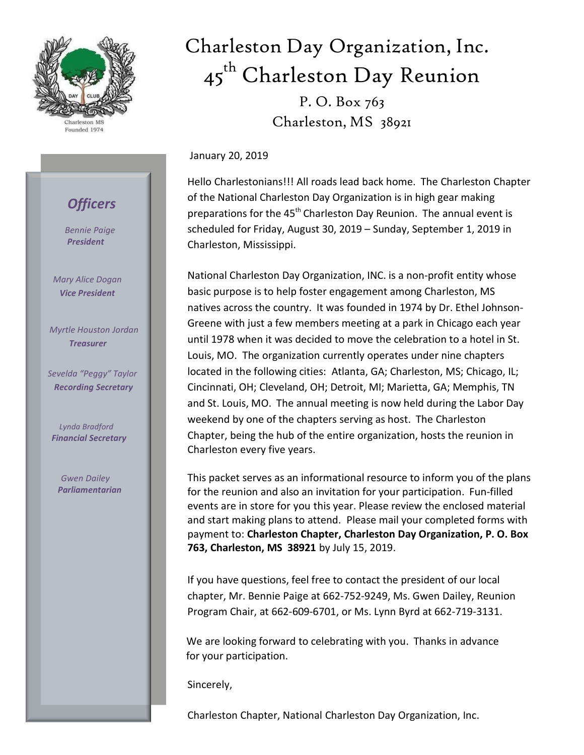

Charleston MS Founded 1974

## *Officers*

 *Bennie Paige President*

*Mary Alice Dogan Vice President*

 *Myrtle Houston Jordan Treasurer*

 *Sevelda "Peggy" Taylor Recording Secretary*

 *Lynda Bradford Financial Secretary*

 *Gwen Dailey Parliamentarian*

# Charleston Day Organization, Inc. 45<sup>th</sup> Charleston Day Reunion

P. O. Box 763 Charleston, MS 38921

January 20, 2019

Hello Charlestonians!!! All roads lead back home. The Charleston Chapter of the National Charleston Day Organization is in high gear making preparations for the 45<sup>th</sup> Charleston Day Reunion. The annual event is scheduled for Friday, August 30, 2019 – Sunday, September 1, 2019 in Charleston, Mississippi.

National Charleston Day Organization, INC. is a non-profit entity whose basic purpose is to help foster engagement among Charleston, MS natives across the country. It was founded in 1974 by Dr. Ethel Johnson-Greene with just a few members meeting at a park in Chicago each year until 1978 when it was decided to move the celebration to a hotel in St. Louis, MO. The organization currently operates under nine chapters located in the following cities: Atlanta, GA; Charleston, MS; Chicago, IL; Cincinnati, OH; Cleveland, OH; Detroit, MI; Marietta, GA; Memphis, TN and St. Louis, MO. The annual meeting is now held during the Labor Day weekend by one of the chapters serving as host. The Charleston Chapter, being the hub of the entire organization, hosts the reunion in Charleston every five years.

This packet serves as an informational resource to inform you of the plans for the reunion and also an invitation for your participation. Fun-filled events are in store for you this year. Please review the enclosed material and start making plans to attend. Please mail your completed forms with payment to: **Charleston Chapter, Charleston Day Organization, P. O. Box 763, Charleston, MS 38921** by July 15, 2019.

If you have questions, feel free to contact the president of our local chapter, Mr. Bennie Paige at 662-752-9249, Ms. Gwen Dailey, Reunion Program Chair, at 662-609-6701, or Ms. Lynn Byrd at 662-719-3131.

 We are looking forward to celebrating with you. Thanks in advance for your participation.

Sincerely,

Charleston Chapter, National Charleston Day Organization, Inc.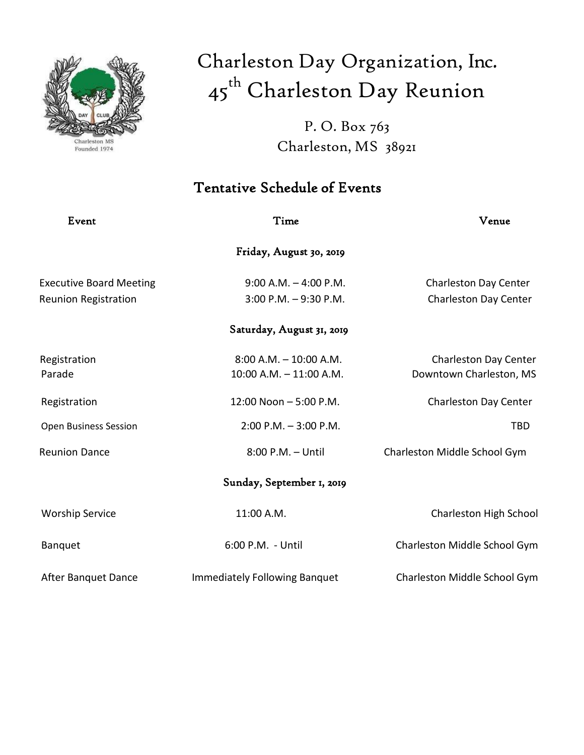

# Charleston Day Organization, Inc. 45<sup>th</sup> Charleston Day Reunion

P. O. Box 763 Charleston, MS 38921

## Tentative Schedule of Events

| Event                          | Time                                 | Venue                        |
|--------------------------------|--------------------------------------|------------------------------|
|                                | Friday, August 30, 2019              |                              |
| <b>Executive Board Meeting</b> | $9:00$ A.M. $-$ 4:00 P.M.            | Charleston Day Center        |
| <b>Reunion Registration</b>    | $3:00$ P.M. $-9:30$ P.M.             | Charleston Day Center        |
|                                | Saturday, August 31, 2019            |                              |
| Registration                   | $8:00$ A.M. $-10:00$ A.M.            | Charleston Day Center        |
| Parade                         | 10:00 A.M. - 11:00 A.M.              | Downtown Charleston, MS      |
| Registration                   | 12:00 Noon - 5:00 P.M.               | Charleston Day Center        |
| <b>Open Business Session</b>   | $2:00$ P.M. $-3:00$ P.M.             | <b>TBD</b>                   |
| <b>Reunion Dance</b>           | 8:00 P.M. - Until                    | Charleston Middle School Gym |
|                                | Sunday, September 1, 2019            |                              |
| <b>Worship Service</b>         | 11:00 A.M.                           | Charleston High School       |
| <b>Banquet</b>                 | 6:00 P.M. - Until                    | Charleston Middle School Gym |
| After Banquet Dance            | <b>Immediately Following Banquet</b> | Charleston Middle School Gym |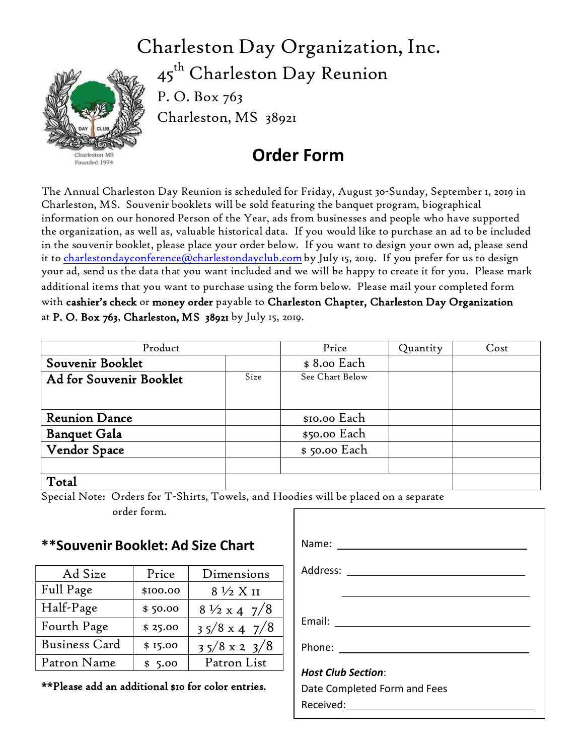## Charleston Day Organization, Inc.

Charleston MS Founded 1974

45<sup>th</sup> Charleston Day Reunion P. O. Box 763 Charleston, MS 38921

## **Order Form**

The Annual Charleston Day Reunion is scheduled for Friday, August 30-Sunday, September 1, 2019 in Charleston, MS. Souvenir booklets will be sold featuring the banquet program, biographical information on our honored Person of the Year, ads from businesses and people who have supported the organization, as well as, valuable historical data. If you would like to purchase an ad to be included in the souvenir booklet, please place your order below. If you want to design your own ad, please send it to charlestondayconference@charlestondayclub.com by July 15, 2019. If you prefer for us to design your ad, send us the data that you want included and we will be happy to create it for you. Please mark additional items that you want to purchase using the form below. Please mail your completed form with cashier's check or money order payable to Charleston Chapter, Charleston Day Organization at P. O. Box 763, Charleston, MS 38921 by July 15, 2019.

| Product                 |      | Price           | Quantity | Cost |
|-------------------------|------|-----------------|----------|------|
| Souvenir Booklet        |      | \$8.00 Each     |          |      |
| Ad for Souvenir Booklet | Size | See Chart Below |          |      |
|                         |      |                 |          |      |
|                         |      |                 |          |      |
| <b>Reunion Dance</b>    |      | \$10.00 Each    |          |      |
| <b>Banquet Gala</b>     |      | \$50.00 Each    |          |      |
| <b>Vendor Space</b>     |      | \$50.00 Each    |          |      |
|                         |      |                 |          |      |
| Total                   |      |                 |          |      |

Special Note: Orders for T-Shirts, Towels, and Hoodies will be placed on a separate

order form.

### **\*\*Souvenir Booklet: Ad Size Chart**

| Ad Size              | Price    | Dimensions                          |
|----------------------|----------|-------------------------------------|
| Full Page            | \$100.00 | $8\frac{1}{2} X I1$                 |
| Half-Page            | \$50.00  | $8\frac{1}{2} \times 4 \frac{7}{8}$ |
| Fourth Page          | \$25.00  | $35/8 \times 47/8$                  |
| <b>Business Card</b> | \$15.00  | $35/8 \times 23/8$                  |
| Patron Name          | \$5.00   | Patron List                         |

\*\*Please add an additional \$10 for color entries.

| Address: ___ <b>_____________________</b> |
|-------------------------------------------|
|                                           |
|                                           |
|                                           |
| <b>Host Club Section:</b>                 |
| Date Completed Form and Fees<br>Received: |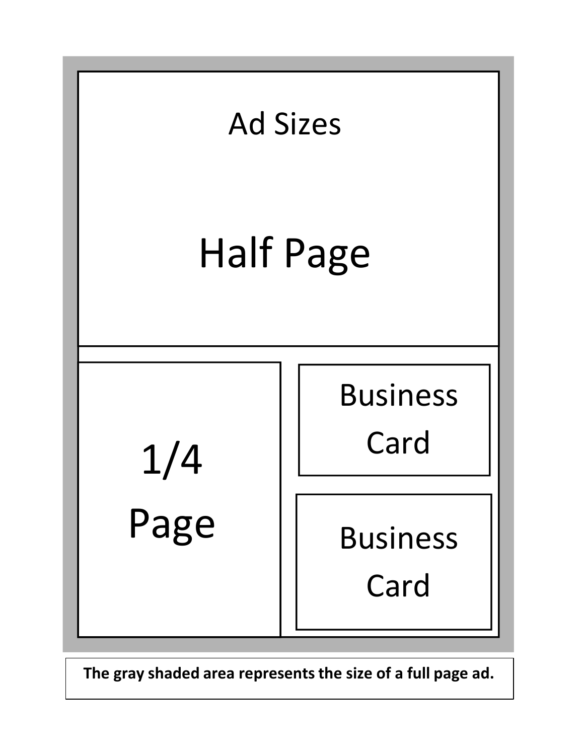

**The gray shaded area representsthe size of a full page ad.**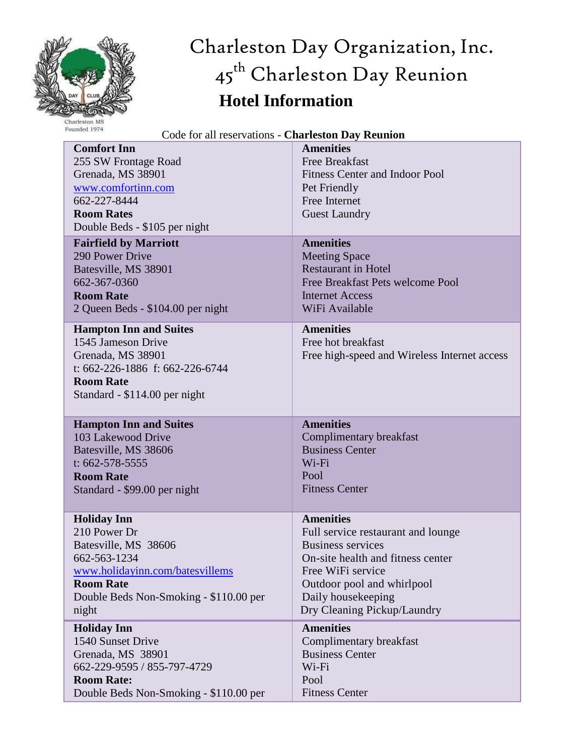

# Charleston Day Organization, Inc. 45<sup>th</sup> Charleston Day Reunion **Hotel Information**

| Founded 1974<br>Code for all reservations - Charleston Day Reunion                                                                                               |                                                                                                                                             |  |  |
|------------------------------------------------------------------------------------------------------------------------------------------------------------------|---------------------------------------------------------------------------------------------------------------------------------------------|--|--|
| <b>Comfort Inn</b><br>255 SW Frontage Road<br>Grenada, MS 38901<br>www.comfortinn.com<br>662-227-8444<br><b>Room Rates</b><br>Double Beds - \$105 per night      | <b>Amenities</b><br><b>Free Breakfast</b><br><b>Fitness Center and Indoor Pool</b><br>Pet Friendly<br>Free Internet<br><b>Guest Laundry</b> |  |  |
| <b>Fairfield by Marriott</b>                                                                                                                                     | <b>Amenities</b>                                                                                                                            |  |  |
| 290 Power Drive                                                                                                                                                  | <b>Meeting Space</b>                                                                                                                        |  |  |
| Batesville, MS 38901                                                                                                                                             | <b>Restaurant in Hotel</b>                                                                                                                  |  |  |
| 662-367-0360                                                                                                                                                     | Free Breakfast Pets welcome Pool                                                                                                            |  |  |
| <b>Room Rate</b>                                                                                                                                                 | <b>Internet Access</b>                                                                                                                      |  |  |
| 2 Queen Beds - \$104.00 per night                                                                                                                                | WiFi Available                                                                                                                              |  |  |
| <b>Hampton Inn and Suites</b><br>1545 Jameson Drive<br>Grenada, MS 38901<br>t: 662-226-1886 f: 662-226-6744<br><b>Room Rate</b><br>Standard - \$114.00 per night | <b>Amenities</b><br>Free hot breakfast<br>Free high-speed and Wireless Internet access                                                      |  |  |
| <b>Hampton Inn and Suites</b>                                                                                                                                    | <b>Amenities</b>                                                                                                                            |  |  |
| 103 Lakewood Drive                                                                                                                                               | Complimentary breakfast                                                                                                                     |  |  |
| Batesville, MS 38606                                                                                                                                             | <b>Business Center</b>                                                                                                                      |  |  |
| t: $662 - 578 - 5555$                                                                                                                                            | Wi-Fi                                                                                                                                       |  |  |
| <b>Room Rate</b>                                                                                                                                                 | Pool                                                                                                                                        |  |  |
| Standard - \$99.00 per night                                                                                                                                     | <b>Fitness Center</b>                                                                                                                       |  |  |
| <b>Holiday Inn</b>                                                                                                                                               | <b>Amenities</b>                                                                                                                            |  |  |
| 210 Power Dr                                                                                                                                                     | Full service restaurant and lounge                                                                                                          |  |  |
| Batesville, MS 38606                                                                                                                                             | <b>Business services</b>                                                                                                                    |  |  |
| 662-563-1234                                                                                                                                                     | On-site health and fitness center                                                                                                           |  |  |
| www.holidayinn.com/batesvillems                                                                                                                                  | Free WiFi service                                                                                                                           |  |  |
| <b>Room Rate</b>                                                                                                                                                 | Outdoor pool and whirlpool                                                                                                                  |  |  |
| Double Beds Non-Smoking - \$110.00 per                                                                                                                           | Daily housekeeping                                                                                                                          |  |  |
| night                                                                                                                                                            | Dry Cleaning Pickup/Laundry                                                                                                                 |  |  |
| <b>Holiday Inn</b>                                                                                                                                               | <b>Amenities</b>                                                                                                                            |  |  |
| 1540 Sunset Drive                                                                                                                                                | Complimentary breakfast                                                                                                                     |  |  |
| Grenada, MS 38901                                                                                                                                                | <b>Business Center</b>                                                                                                                      |  |  |
| 662-229-9595 / 855-797-4729                                                                                                                                      | Wi-Fi                                                                                                                                       |  |  |
| <b>Room Rate:</b>                                                                                                                                                | Pool                                                                                                                                        |  |  |
| Double Beds Non-Smoking - \$110.00 per                                                                                                                           | <b>Fitness Center</b>                                                                                                                       |  |  |